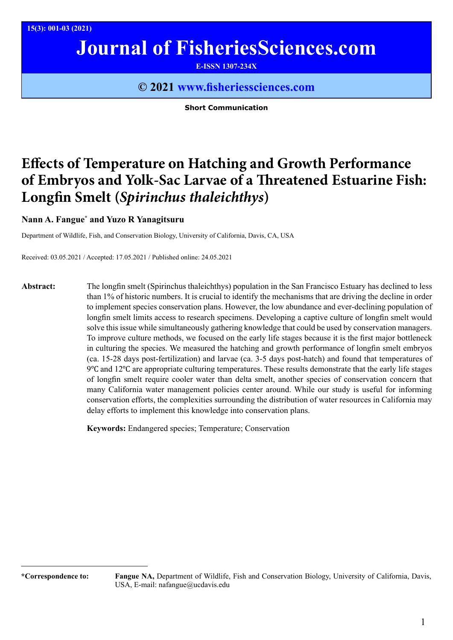**15(3): 001-03 (2021)**

# **Journal of FisheriesSciences.com**

**E-ISSN 1307-234X**

### **© 2021 www.fisheriessciences.com**

**Short Communication**

## **Effects of Temperature on Hatching and Growth Performance of Embryos and Yolk-Sac Larvae of a Threatened Estuarine Fish: Longfin Smelt (***Spirinchus thaleichthys***)**

#### **Nann A. Fangue\* and Yuzo R Yanagitsuru**

Department of Wildlife, Fish, and Conservation Biology, University of California, Davis, CA, USA

Received: 03.05.2021 / Accepted: 17.05.2021 / Published online: 24.05.2021

**Abstract:** The longfin smelt (Spirinchus thaleichthys) population in the San Francisco Estuary has declined to less than 1% of historic numbers. It is crucial to identify the mechanisms that are driving the decline in order to implement species conservation plans. However, the low abundance and ever-declining population of longfin smelt limits access to research specimens. Developing a captive culture of longfin smelt would solve this issue while simultaneously gathering knowledge that could be used by conservation managers. To improve culture methods, we focused on the early life stages because it is the first major bottleneck in culturing the species. We measured the hatching and growth performance of longfin smelt embryos (ca. 15-28 days post-fertilization) and larvae (ca. 3-5 days post-hatch) and found that temperatures of 9℃ and 12℃ are appropriate culturing temperatures. These results demonstrate that the early life stages of longfin smelt require cooler water than delta smelt, another species of conservation concern that many California water management policies center around. While our study is useful for informing conservation efforts, the complexities surrounding the distribution of water resources in California may delay efforts to implement this knowledge into conservation plans.

**Keywords:** Endangered species; Temperature; Conservation

**<sup>\*</sup>Correspondence to: Fangue NA,** Department of Wildlife, Fish and Conservation Biology, University of California, Davis, USA, E-mail: nafangue@ucdavis.edu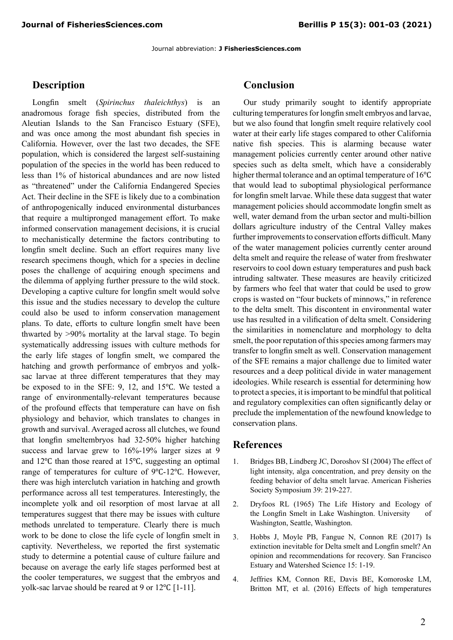Journal abbreviation: **J FisheriesSciences.com**

#### **Description**

Longfin smelt (*Spirinchus thaleichthys*) is an anadromous forage fish species, distributed from the Aleutian Islands to the San Francisco Estuary (SFE), and was once among the most abundant fish species in California. However, over the last two decades, the SFE population, which is considered the largest self-sustaining population of the species in the world has been reduced to less than 1% of historical abundances and are now listed as "threatened" under the California Endangered Species Act. Their decline in the SFE is likely due to a combination of anthropogenically induced environmental disturbances that require a multipronged management effort. To make informed conservation management decisions, it is crucial to mechanistically determine the factors contributing to longfin smelt decline. Such an effort requires many live research specimens though, which for a species in decline poses the challenge of acquiring enough specimens and the dilemma of applying further pressure to the wild stock. Developing a captive culture for longfin smelt would solve this issue and the studies necessary to develop the culture could also be used to inform conservation management plans. To date, efforts to culture longfin smelt have been thwarted by >90% mortality at the larval stage. To begin systematically addressing issues with culture methods for the early life stages of longfin smelt, we compared the hatching and growth performance of embryos and yolksac larvae at three different temperatures that they may be exposed to in the SFE: 9, 12, and 15℃. We tested a range of environmentally-relevant temperatures because of the profound effects that temperature can have on fish physiology and behavior, which translates to changes in growth and survival. Averaged across all clutches, we found that longfin smeltembryos had 32-50% higher hatching success and larvae grew to 16%-19% larger sizes at 9 and 12℃ than those reared at 15℃, suggesting an optimal range of temperatures for culture of 9℃-12℃. However, there was high interclutch variation in hatching and growth performance across all test temperatures. Interestingly, the incomplete yolk and oil resorption of most larvae at all temperatures suggest that there may be issues with culture methods unrelated to temperature. Clearly there is much work to be done to close the life cycle of longfin smelt in captivity. Nevertheless, we reported the first systematic study to determine a potential cause of culture failure and because on average the early life stages performed best at the cooler temperatures, we suggest that the embryos and yolk-sac larvae should be reared at 9 or 12℃ [1-11].

#### **Conclusion**

Our study primarily sought to identify appropriate culturing temperatures for longfin smelt embryos and larvae, but we also found that longfin smelt require relatively cool water at their early life stages compared to other California native fish species. This is alarming because water management policies currently center around other native species such as delta smelt, which have a considerably higher thermal tolerance and an optimal temperature of 16℃ that would lead to suboptimal physiological performance for longfin smelt larvae. While these data suggest that water management policies should accommodate longfin smelt as well, water demand from the urban sector and multi-billion dollars agriculture industry of the Central Valley makes further improvements to conservation efforts difficult. Many of the water management policies currently center around delta smelt and require the release of water from freshwater reservoirs to cool down estuary temperatures and push back intruding saltwater. These measures are heavily criticized by farmers who feel that water that could be used to grow crops is wasted on "four buckets of minnows," in reference to the delta smelt. This discontent in environmental water use has resulted in a vilification of delta smelt. Considering the similarities in nomenclature and morphology to delta smelt, the poor reputation of this species among farmers may transfer to longfin smelt as well. Conservation management of the SFE remains a major challenge due to limited water resources and a deep political divide in water management ideologies. While research is essential for determining how to protect a species, it is important to be mindful that political and regulatory complexities can often significantly delay or preclude the implementation of the newfound knowledge to conservation plans.

#### **References**

- 1. [Bridges BB, Lindberg JC, Doroshov SI \(2004\) T](http://citeseerx.ist.psu.edu/viewdoc/download?doi=10.1.1.364.7105&rep=rep1&type=pdf)he effect of [light intensity, alga concentration, and prey density on the](http://citeseerx.ist.psu.edu/viewdoc/download?doi=10.1.1.364.7105&rep=rep1&type=pdf)  [feeding behavior of delta smelt larvae. American Fisheries](http://citeseerx.ist.psu.edu/viewdoc/download?doi=10.1.1.364.7105&rep=rep1&type=pdf)  [Society Symposium 39: 219-227.](http://citeseerx.ist.psu.edu/viewdoc/download?doi=10.1.1.364.7105&rep=rep1&type=pdf)
- 2. [Dryfoos RL \(1965\) The Life History and Ecology of](https://search.proquest.com/openview/fccd6975dd9572589324dfbda1797cbf/1.pdf?pq-origsite=gscholar&cbl=18750&diss=y)  [the Longfin Smelt in Lake Washington. University of](https://search.proquest.com/openview/fccd6975dd9572589324dfbda1797cbf/1.pdf?pq-origsite=gscholar&cbl=18750&diss=y)  [Washington, Seattle, Washington.](https://search.proquest.com/openview/fccd6975dd9572589324dfbda1797cbf/1.pdf?pq-origsite=gscholar&cbl=18750&diss=y)
- 3. [Hobbs J, Moyle PB, Fangue N, Connon RE \(2017\) Is](file:///C:\Users\Dell\Downloads\. https:\doi.org\10.15447\sfews.2017v15iss2art2)  [extinction inevitable for Delta smelt and Longfin smelt? An](file:///C:\Users\Dell\Downloads\. https:\doi.org\10.15447\sfews.2017v15iss2art2)  [opinion and recommendations for recovery. San Francisco](file:///C:\Users\Dell\Downloads\. https:\doi.org\10.15447\sfews.2017v15iss2art2)  [Estuary and Watershed Science 15: 1-19.](file:///C:\Users\Dell\Downloads\. https:\doi.org\10.15447\sfews.2017v15iss2art2)
- 4. [Jeffries KM, Connon RE, Davis BE, Komoroske LM,](https://doi.org/10.1242/jeb.134528. 99)  [Britton MT, et al. \(2016\) Effects of high temperatures](https://doi.org/10.1242/jeb.134528. 99)